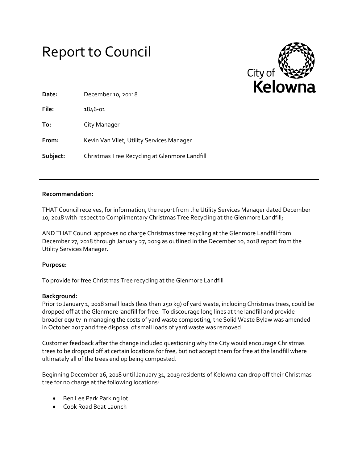



| Date:    | December 10, 20118                            |
|----------|-----------------------------------------------|
| File:    | 1846-01                                       |
| To:      | City Manager                                  |
| From:    | Kevin Van Vliet, Utility Services Manager     |
| Subject: | Christmas Tree Recycling at Glenmore Landfill |

# **Recommendation:**

THAT Council receives, for information, the report from the Utility Services Manager dated December 10, 2018 with respect to Complimentary Christmas Tree Recycling at the Glenmore Landfill;

AND THAT Council approves no charge Christmas tree recycling at the Glenmore Landfill from December 27, 2018 through January 27, 2019 as outlined in the December 10, 2018 report from the Utility Services Manager.

## **Purpose:**

To provide for free Christmas Tree recycling at the Glenmore Landfill

## **Background:**

Prior to January 1, 2018 small loads (less than 250 kg) of yard waste, including Christmas trees, could be dropped off at the Glenmore landfill for free. To discourage long lines at the landfill and provide broader equity in managing the costs of yard waste composting, the Solid Waste Bylaw was amended in October 2017 and free disposal of small loads of yard waste was removed.

Customer feedback after the change included questioning why the City would encourage Christmas trees to be dropped off at certain locations for free, but not accept them for free at the landfill where ultimately all of the trees end up being composted.

Beginning December 26, 2018 until January 31, 2019 residents of Kelowna can drop off their Christmas tree for no charge at the following locations:

- Ben Lee Park Parking lot
- Cook Road Boat Launch